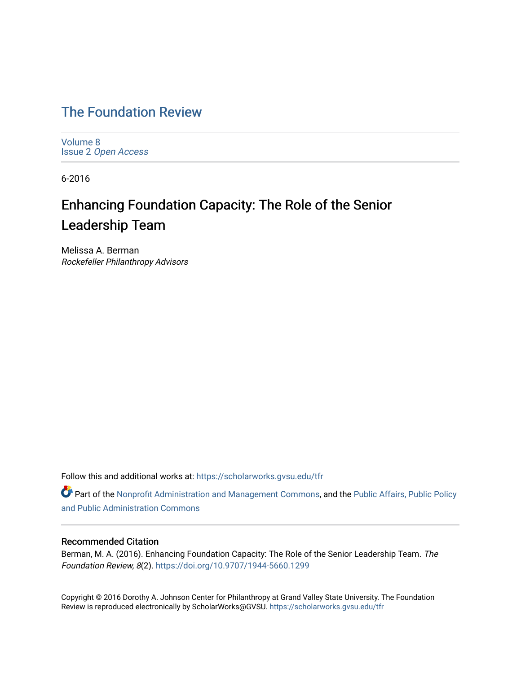# [The Foundation Review](https://scholarworks.gvsu.edu/tfr)

[Volume 8](https://scholarworks.gvsu.edu/tfr/vol8) Issue 2 [Open Access](https://scholarworks.gvsu.edu/tfr/vol8/iss2)

6-2016

# Enhancing Foundation Capacity: The Role of the Senior Leadership Team

Melissa A. Berman Rockefeller Philanthropy Advisors

Follow this and additional works at: [https://scholarworks.gvsu.edu/tfr](https://scholarworks.gvsu.edu/tfr?utm_source=scholarworks.gvsu.edu%2Ftfr%2Fvol8%2Fiss2%2F9&utm_medium=PDF&utm_campaign=PDFCoverPages)

Part of the [Nonprofit Administration and Management Commons,](http://network.bepress.com/hgg/discipline/1228?utm_source=scholarworks.gvsu.edu%2Ftfr%2Fvol8%2Fiss2%2F9&utm_medium=PDF&utm_campaign=PDFCoverPages) and the Public Affairs, Public Policy [and Public Administration Commons](http://network.bepress.com/hgg/discipline/393?utm_source=scholarworks.gvsu.edu%2Ftfr%2Fvol8%2Fiss2%2F9&utm_medium=PDF&utm_campaign=PDFCoverPages) 

# Recommended Citation

Berman, M. A. (2016). Enhancing Foundation Capacity: The Role of the Senior Leadership Team. The Foundation Review, 8(2).<https://doi.org/10.9707/1944-5660.1299>

Copyright © 2016 Dorothy A. Johnson Center for Philanthropy at Grand Valley State University. The Foundation Review is reproduced electronically by ScholarWorks@GVSU.<https://scholarworks.gvsu.edu/tfr>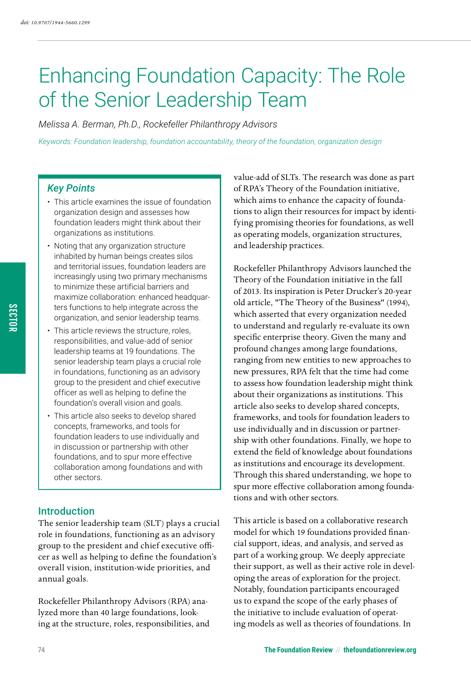# Enhancing Foundation Capacity: The Role of the Senior Leadership Team

*Melissa A. Berman, Ph.D., Rockefeller Philanthropy Advisors*

*Keywords: Foundation leadership, foundation accountability, theory of the foundation, organization design*

# *Key Points*

- This article examines the issue of foundation organization design and assesses how foundation leaders might think about their organizations as institutions.
- Noting that any organization structure inhabited by human beings creates silos and territorial issues, foundation leaders are increasingly using two primary mechanisms to minimize these artificial barriers and maximize collaboration: enhanced headquarters functions to help integrate across the organization, and senior leadership teams.
- This article reviews the structure, roles, responsibilities, and value-add of senior leadership teams at 19 foundations. The senior leadership team plays a crucial role in foundations, functioning as an advisory group to the president and chief executive officer as well as helping to define the foundation's overall vision and goals.
- This article also seeks to develop shared concepts, frameworks, and tools for foundation leaders to use individually and in discussion or partnership with other foundations, and to spur more effective collaboration among foundations and with other sectors.

# Introduction

The senior leadership team (SLT) plays a crucial role in foundations, functioning as an advisory group to the president and chief executive officer as well as helping to define the foundation's overall vision, institution-wide priorities, and annual goals.

Rockefeller Philanthropy Advisors (RPA) analyzed more than 40 large foundations, looking at the structure, roles, responsibilities, and

value-add of SLTs. The research was done as part of RPA's Theory of the Foundation initiative, which aims to enhance the capacity of foundations to align their resources for impact by identifying promising theories for foundations, as well as operating models, organization structures, and leadership practices.

Rockefeller Philanthropy Advisors launched the Theory of the Foundation initiative in the fall of 2013. Its inspiration is Peter Drucker's 20-year old article, "The Theory of the Business" (1994), which asserted that every organization needed to understand and regularly re-evaluate its own specific enterprise theory. Given the many and profound changes among large foundations, ranging from new entities to new approaches to new pressures, RPA felt that the time had come to assess how foundation leadership might think about their organizations as institutions. This article also seeks to develop shared concepts, frameworks, and tools for foundation leaders to use individually and in discussion or partnership with other foundations. Finally, we hope to extend the field of knowledge about foundations as institutions and encourage its development. Through this shared understanding, we hope to spur more effective collaboration among foundations and with other sectors.

This article is based on a collaborative research model for which 19 foundations provided financial support, ideas, and analysis, and served as part of a working group. We deeply appreciate their support, as well as their active role in developing the areas of exploration for the project. Notably, foundation participants encouraged us to expand the scope of the early phases of the initiative to include evaluation of operating models as well as theories of foundations. In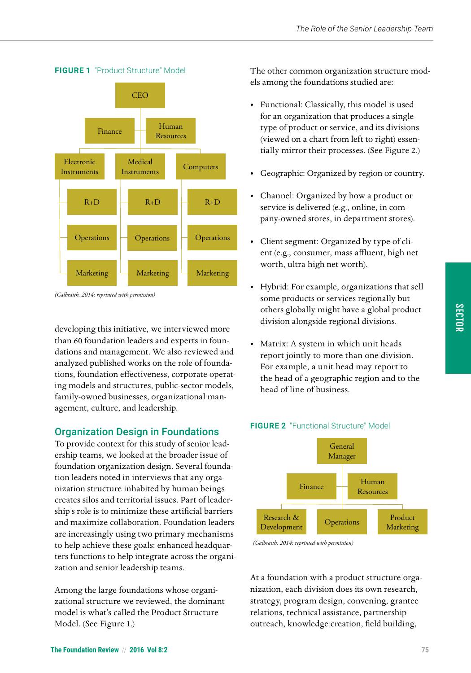

#### **FIGURE 1** "Product Structure" Model

*(Galbraith, 2014; reprinted with permission)*

developing this initiative, we interviewed more than 60 foundation leaders and experts in foundations and management. We also reviewed and analyzed published works on the role of foundations, foundation effectiveness, corporate operating models and structures, public-sector models, family-owned businesses, organizational management, culture, and leadership.

# Organization Design in Foundations

To provide context for this study of senior leadership teams, we looked at the broader issue of foundation organization design. Several foundation leaders noted in interviews that any organization structure inhabited by human beings creates silos and territorial issues. Part of leadership's role is to minimize these artificial barriers and maximize collaboration. Foundation leaders are increasingly using two primary mechanisms to help achieve these goals: enhanced headquarters functions to help integrate across the organization and senior leadership teams.

Among the large foundations whose organizational structure we reviewed, the dominant model is what's called the Product Structure Model. (See Figure 1.)

The other common organization structure models among the foundations studied are:

- Functional: Classically, this model is used for an organization that produces a single type of product or service, and its divisions (viewed on a chart from left to right) essentially mirror their processes. (See Figure 2.)
- Geographic: Organized by region or country.
- Channel: Organized by how a product or service is delivered (e.g., online, in company-owned stores, in department stores).
- Client segment: Organized by type of client (e.g., consumer, mass affluent, high net worth, ultra-high net worth).
- Hybrid: For example, organizations that sell some products or services regionally but others globally might have a global product division alongside regional divisions.
- Matrix: A system in which unit heads report jointly to more than one division. For example, a unit head may report to the head of a geographic region and to the head of line of business.



# **FIGURE 2** "Functional Structure" Model

*(Galbraith, 2014; reprinted with permission) (Galbraith, 2014; reprinted with permission)*

At a foundation with a product structure organization, each division does its own research, strategy, program design, convening, grantee relations, technical assistance, partnership outreach, knowledge creation, field building,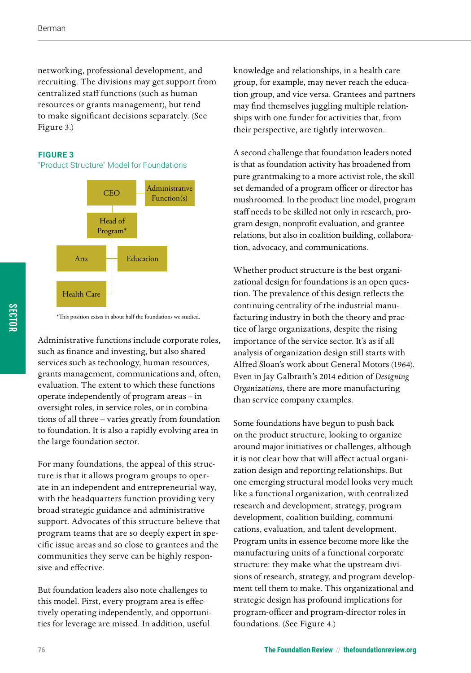networking, professional development, and recruiting. The divisions may get support from centralized staff functions (such as human resources or grants management), but tend to make significant decisions separately. (See Figure 3.)

#### **FIGURE 3**

#### "Product Structure" Model for Foundations



\*This position exists in about half the foundations we studied.

Administrative functions include corporate roles, such as finance and investing, but also shared services such as technology, human resources, grants management, communications and, often, evaluation. The extent to which these functions operate independently of program areas – in oversight roles, in service roles, or in combinations of all three – varies greatly from foundation to foundation. It is also a rapidly evolving area in the large foundation sector.

For many foundations, the appeal of this structure is that it allows program groups to operate in an independent and entrepreneurial way, with the headquarters function providing very broad strategic guidance and administrative support. Advocates of this structure believe that program teams that are so deeply expert in specific issue areas and so close to grantees and the communities they serve can be highly responsive and effective.

But foundation leaders also note challenges to this model. First, every program area is effectively operating independently, and opportunities for leverage are missed. In addition, useful

knowledge and relationships, in a health care group, for example, may never reach the education group, and vice versa. Grantees and partners may find themselves juggling multiple relationships with one funder for activities that, from their perspective, are tightly interwoven.

A second challenge that foundation leaders noted is that as foundation activity has broadened from pure grantmaking to a more activist role, the skill set demanded of a program officer or director has mushroomed. In the product line model, program staff needs to be skilled not only in research, program design, nonprofit evaluation, and grantee relations, but also in coalition building, collaboration, advocacy, and communications.

Whether product structure is the best organizational design for foundations is an open question. The prevalence of this design reflects the continuing centrality of the industrial manufacturing industry in both the theory and practice of large organizations, despite the rising importance of the service sector. It's as if all analysis of organization design still starts with Alfred Sloan's work about General Motors (1964). Even in Jay Galbraith's 2014 edition of *Designing Organizations,* there are more manufacturing than service company examples.

Some foundations have begun to push back on the product structure, looking to organize around major initiatives or challenges, although it is not clear how that will affect actual organization design and reporting relationships. But one emerging structural model looks very much like a functional organization, with centralized research and development, strategy, program development, coalition building, communications, evaluation, and talent development. Program units in essence become more like the manufacturing units of a functional corporate structure: they make what the upstream divisions of research, strategy, and program development tell them to make. This organizational and strategic design has profound implications for program-officer and program-director roles in foundations. (See Figure 4.)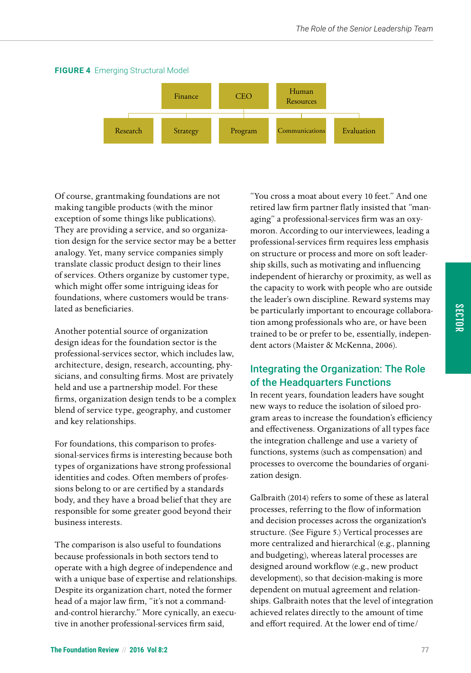

#### **FIGURE 4** Emerging Structural Model

Of course, grantmaking foundations are not making tangible products (with the minor exception of some things like publications). They are providing a service, and so organization design for the service sector may be a better analogy. Yet, many service companies simply translate classic product design to their lines of services. Others organize by customer type, which might offer some intriguing ideas for foundations, where customers would be translated as beneficiaries.

Another potential source of organization design ideas for the foundation sector is the professional-services sector, which includes law, architecture, design, research, accounting, physicians, and consulting firms. Most are privately held and use a partnership model. For these firms, organization design tends to be a complex blend of service type, geography, and customer and key relationships.

For foundations, this comparison to professional-services firms is interesting because both types of organizations have strong professional identities and codes. Often members of professions belong to or are certified by a standards body, and they have a broad belief that they are responsible for some greater good beyond their business interests.

The comparison is also useful to foundations because professionals in both sectors tend to operate with a high degree of independence and with a unique base of expertise and relationships. Despite its organization chart, noted the former head of a major law firm, "it's not a commandand-control hierarchy." More cynically, an executive in another professional-services firm said,

"You cross a moat about every 10 feet." And one retired law firm partner flatly insisted that "managing" a professional-services firm was an oxymoron. According to our interviewees, leading a professional-services firm requires less emphasis on structure or process and more on soft leadership skills, such as motivating and influencing independent of hierarchy or proximity, as well as the capacity to work with people who are outside the leader's own discipline. Reward systems may be particularly important to encourage collaboration among professionals who are, or have been trained to be or prefer to be, essentially, independent actors (Maister & McKenna, 2006).

# Integrating the Organization: The Role of the Headquarters Functions

In recent years, foundation leaders have sought new ways to reduce the isolation of siloed program areas to increase the foundation's efficiency and effectiveness. Organizations of all types face the integration challenge and use a variety of functions, systems (such as compensation) and processes to overcome the boundaries of organization design.

Galbraith (2014) refers to some of these as lateral processes, referring to the flow of information and decision processes across the organization's structure. (See Figure 5.) Vertical processes are more centralized and hierarchical (e.g., planning and budgeting), whereas lateral processes are designed around workflow (e.g., new product development), so that decision-making is more dependent on mutual agreement and relationships. Galbraith notes that the level of integration achieved relates directly to the amount of time and effort required. At the lower end of time/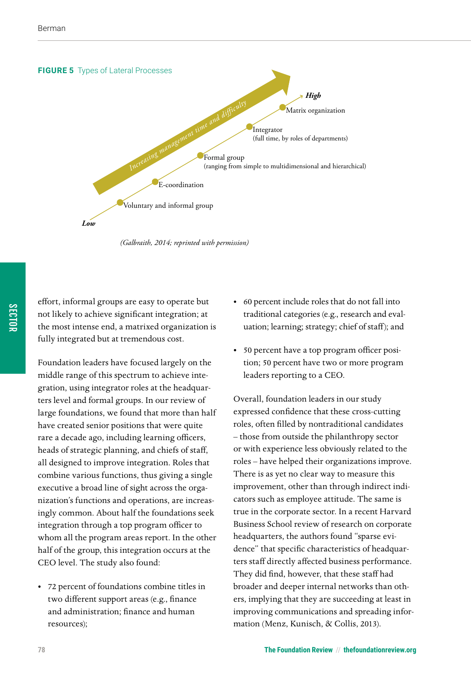

*(Galbraith, 2014; reprinted with permission)*

effort, informal groups are easy to operate but not likely to achieve significant integration; at the most intense end, a matrixed organization is fully integrated but at tremendous cost.

Foundation leaders have focused largely on the middle range of this spectrum to achieve integration, using integrator roles at the headquarters level and formal groups. In our review of large foundations, we found that more than half have created senior positions that were quite rare a decade ago, including learning officers, heads of strategic planning, and chiefs of staff, all designed to improve integration. Roles that combine various functions, thus giving a single executive a broad line of sight across the organization's functions and operations, are increasingly common. About half the foundations seek integration through a top program officer to whom all the program areas report. In the other half of the group, this integration occurs at the CEO level. The study also found:

• 72 percent of foundations combine titles in two different support areas (e.g., finance and administration; finance and human resources);

- 60 percent include roles that do not fall into traditional categories (e.g., research and evaluation; learning; strategy; chief of staff); and
- 50 percent have a top program officer position; 50 percent have two or more program leaders reporting to a CEO.

Overall, foundation leaders in our study expressed confidence that these cross-cutting roles, often filled by nontraditional candidates – those from outside the philanthropy sector or with experience less obviously related to the roles – have helped their organizations improve. There is as yet no clear way to measure this improvement, other than through indirect indicators such as employee attitude. The same is true in the corporate sector. In a recent Harvard Business School review of research on corporate headquarters, the authors found "sparse evidence" that specific characteristics of headquarters staff directly affected business performance. They did find, however, that these staff had broader and deeper internal networks than others, implying that they are succeeding at least in improving communications and spreading information (Menz, Kunisch, & Collis, 2013).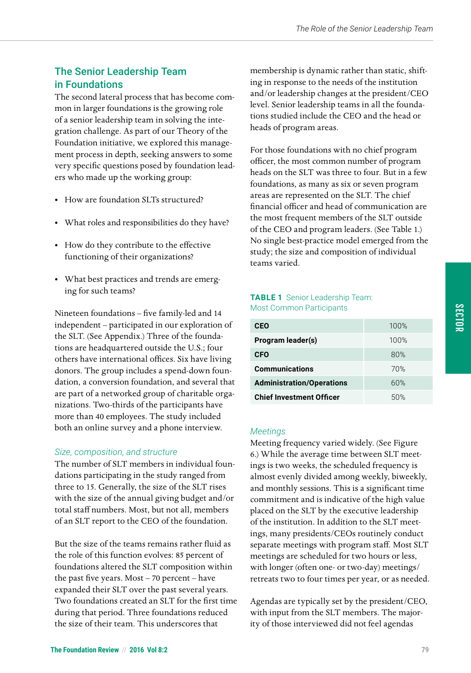# The Senior Leadership Team in Foundations

The second lateral process that has become common in larger foundations is the growing role of a senior leadership team in solving the integration challenge. As part of our Theory of the Foundation initiative, we explored this management process in depth, seeking answers to some very specific questions posed by foundation leaders who made up the working group:

- How are foundation SLTs structured?
- What roles and responsibilities do they have?
- How do they contribute to the effective functioning of their organizations?
- What best practices and trends are emerging for such teams?

Nineteen foundations – five family-led and 14 independent – participated in our exploration of the SLT. (See Appendix.) Three of the foundations are headquartered outside the U.S.; four others have international offices. Six have living donors. The group includes a spend-down foundation, a conversion foundation, and several that are part of a networked group of charitable organizations. Two-thirds of the participants have more than 40 employees. The study included both an online survey and a phone interview.

#### *Size, composition, and structure*

The number of SLT members in individual foundations participating in the study ranged from three to 15. Generally, the size of the SLT rises with the size of the annual giving budget and/or total staff numbers. Most, but not all, members of an SLT report to the CEO of the foundation.

But the size of the teams remains rather fluid as the role of this function evolves: 85 percent of foundations altered the SLT composition within the past five years. Most – 70 percent – have expanded their SLT over the past several years. Two foundations created an SLT for the first time during that period. Three foundations reduced the size of their team. This underscores that

membership is dynamic rather than static, shifting in response to the needs of the institution and/or leadership changes at the president/CEO level. Senior leadership teams in all the foundations studied include the CEO and the head or heads of program areas.

For those foundations with no chief program officer, the most common number of program heads on the SLT was three to four. But in a few foundations, as many as six or seven program areas are represented on the SLT. The chief financial officer and head of communication are the most frequent members of the SLT outside of the CEO and program leaders. (See Table 1.) No single best-practice model emerged from the study; the size and composition of individual teams varied.

#### **TABLE 1** Senior Leadership Team: Most Common Participants

| <b>CEO</b>                       | 100% |
|----------------------------------|------|
| Program leader(s)                | 100% |
| <b>CFO</b>                       | 80%  |
| <b>Communications</b>            | 70%  |
| <b>Administration/Operations</b> | 60%  |
| <b>Chief Investment Officer</b>  | 50%  |

#### *Meetings*

Meeting frequency varied widely. (See Figure 6.) While the average time between SLT meetings is two weeks, the scheduled frequency is almost evenly divided among weekly, biweekly, and monthly sessions. This is a significant time commitment and is indicative of the high value placed on the SLT by the executive leadership of the institution. In addition to the SLT meetings, many presidents/CEOs routinely conduct separate meetings with program staff. Most SLT meetings are scheduled for two hours or less, with longer (often one- or two-day) meetings/ retreats two to four times per year, or as needed.

Agendas are typically set by the president/CEO, with input from the SLT members. The majority of those interviewed did not feel agendas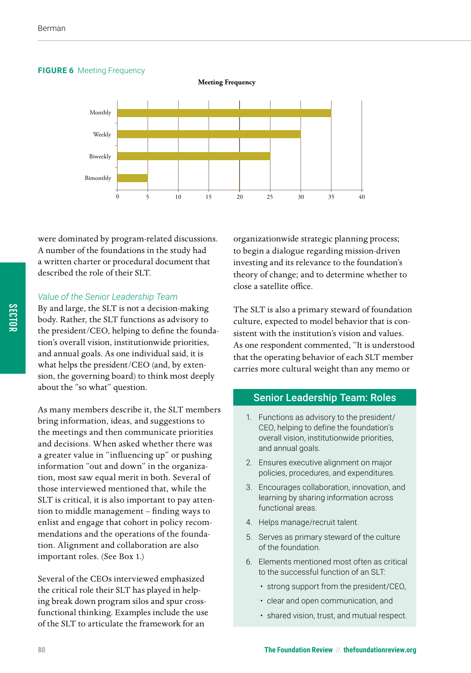#### **FIGURE 6** Meeting Frequency

**Meeting Frequency**



were dominated by program-related discussions. A number of the foundations in the study had a written charter or procedural document that described the role of their SLT.

#### *Value of the Senior Leadership Team*

By and large, the SLT is not a decision-making body. Rather, the SLT functions as advisory to the president/CEO, helping to define the foundation's overall vision, institutionwide priorities, and annual goals. As one individual said, it is what helps the president/CEO (and, by extension, the governing board) to think most deeply about the "so what" question.

As many members describe it, the SLT members bring information, ideas, and suggestions to the meetings and then communicate priorities and decisions. When asked whether there was a greater value in "influencing up" or pushing information "out and down" in the organization, most saw equal merit in both. Several of those interviewed mentioned that, while the SLT is critical, it is also important to pay attention to middle management – finding ways to enlist and engage that cohort in policy recommendations and the operations of the foundation. Alignment and collaboration are also important roles. (See Box 1.)

Several of the CEOs interviewed emphasized the critical role their SLT has played in helping break down program silos and spur crossfunctional thinking. Examples include the use of the SLT to articulate the framework for an

organizationwide strategic planning process; to begin a dialogue regarding mission-driven investing and its relevance to the foundation's theory of change; and to determine whether to close a satellite office.

The SLT is also a primary steward of foundation culture, expected to model behavior that is consistent with the institution's vision and values. As one respondent commented, "It is understood that the operating behavior of each SLT member carries more cultural weight than any memo or

#### Senior Leadership Team: Roles

- 1. Functions as advisory to the president/ CEO, helping to define the foundation's overall vision, institutionwide priorities, and annual goals.
- 2. Ensures executive alignment on major policies, procedures, and expenditures.
- 3. Encourages collaboration, innovation, and learning by sharing information across functional areas.
- 4. Helps manage/recruit talent.
- 5. Serves as primary steward of the culture of the foundation.
- 6. Elements mentioned most often as critical to the successful function of an SLT:
	- strong support from the president/CEO,
	- clear and open communication, and
	- shared vision, trust, and mutual respect.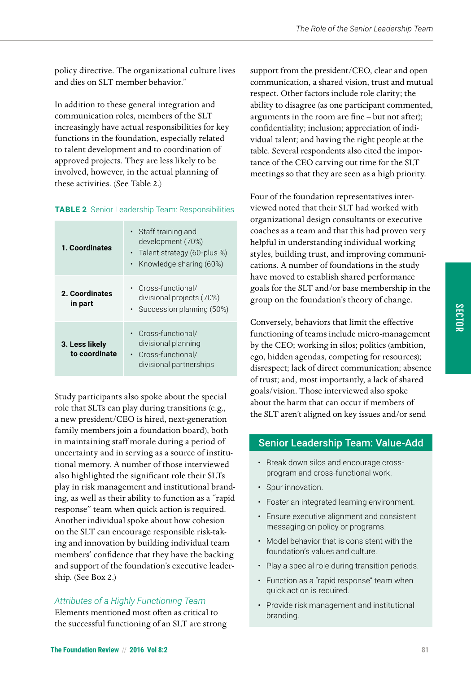policy directive. The organizational culture lives and dies on SLT member behavior."

In addition to these general integration and communication roles, members of the SLT increasingly have actual responsibilities for key functions in the foundation, especially related to talent development and to coordination of approved projects. They are less likely to be involved, however, in the actual planning of these activities. (See Table 2.)

#### **TABLE 2** Senior Leadership Team: Responsibilities

| 1. Coordinates                  | • Staff training and<br>development (70%)<br>• Talent strategy (60-plus %)<br>• Knowledge sharing (60%) |
|---------------------------------|---------------------------------------------------------------------------------------------------------|
| 2. Coordinates<br>in part       | • Cross-functional/<br>divisional projects (70%)<br>• Succession planning (50%)                         |
| 3. Less likely<br>to coordinate | • Cross-functional/<br>divisional planning<br>• Cross-functional/<br>divisional partnerships            |

Study participants also spoke about the special role that SLTs can play during transitions (e.g., a new president/CEO is hired, next-generation family members join a foundation board), both in maintaining staff morale during a period of uncertainty and in serving as a source of institutional memory. A number of those interviewed also highlighted the significant role their SLTs play in risk management and institutional branding, as well as their ability to function as a "rapid response" team when quick action is required. Another individual spoke about how cohesion on the SLT can encourage responsible risk-taking and innovation by building individual team members' confidence that they have the backing and support of the foundation's executive leadership. (See Box 2.)

## *Attributes of a Highly Functioning Team*

Elements mentioned most often as critical to the successful functioning of an SLT are strong support from the president/CEO, clear and open communication, a shared vision, trust and mutual respect. Other factors include role clarity; the ability to disagree (as one participant commented, arguments in the room are fine – but not after); confidentiality; inclusion; appreciation of individual talent; and having the right people at the table. Several respondents also cited the importance of the CEO carving out time for the SLT meetings so that they are seen as a high priority.

Four of the foundation representatives interviewed noted that their SLT had worked with organizational design consultants or executive coaches as a team and that this had proven very helpful in understanding individual working styles, building trust, and improving communications. A number of foundations in the study have moved to establish shared performance goals for the SLT and/or base membership in the group on the foundation's theory of change.

Conversely, behaviors that limit the effective functioning of teams include micro-management by the CEO; working in silos; politics (ambition, ego, hidden agendas, competing for resources); disrespect; lack of direct communication; absence of trust; and, most importantly, a lack of shared goals/vision. Those interviewed also spoke about the harm that can occur if members of the SLT aren't aligned on key issues and/or send

# Senior Leadership Team: Value-Add

- Break down silos and encourage crossprogram and cross-functional work.
- Spur innovation.
- Foster an integrated learning environment.
- Ensure executive alignment and consistent messaging on policy or programs.
- Model behavior that is consistent with the foundation's values and culture.
- Play a special role during transition periods.
- Function as a "rapid response" team when quick action is required.
- Provide risk management and institutional branding.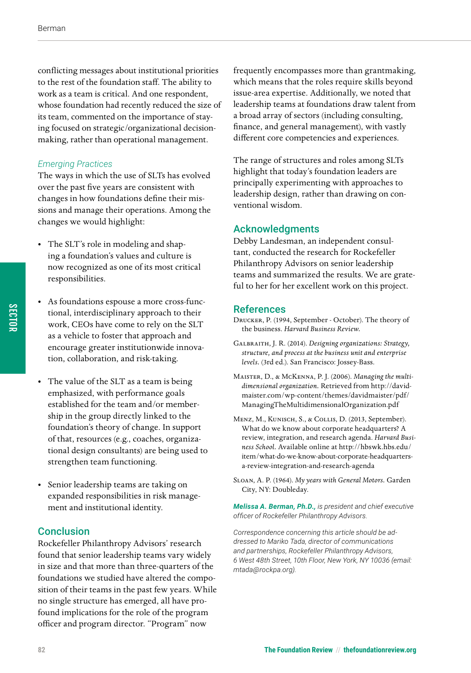conflicting messages about institutional priorities to the rest of the foundation staff. The ability to work as a team is critical. And one respondent, whose foundation had recently reduced the size of its team, commented on the importance of staying focused on strategic/organizational decisionmaking, rather than operational management.

#### *Emerging Practices*

The ways in which the use of SLTs has evolved over the past five years are consistent with changes in how foundations define their missions and manage their operations. Among the changes we would highlight:

- The SLT's role in modeling and shaping a foundation's values and culture is now recognized as one of its most critical responsibilities.
- As foundations espouse a more cross-functional, interdisciplinary approach to their work, CEOs have come to rely on the SLT as a vehicle to foster that approach and encourage greater institutionwide innovation, collaboration, and risk-taking.
- The value of the SLT as a team is being emphasized, with performance goals established for the team and/or membership in the group directly linked to the foundation's theory of change. In support of that, resources (e.g., coaches, organizational design consultants) are being used to strengthen team functioning.
- Senior leadership teams are taking on expanded responsibilities in risk management and institutional identity.

## **Conclusion**

Rockefeller Philanthropy Advisors' research found that senior leadership teams vary widely in size and that more than three-quarters of the foundations we studied have altered the composition of their teams in the past few years. While no single structure has emerged, all have profound implications for the role of the program officer and program director. "Program" now

frequently encompasses more than grantmaking, which means that the roles require skills beyond issue-area expertise. Additionally, we noted that leadership teams at foundations draw talent from a broad array of sectors (including consulting, finance, and general management), with vastly different core competencies and experiences.

The range of structures and roles among SLTs highlight that today's foundation leaders are principally experimenting with approaches to leadership design, rather than drawing on conventional wisdom.

#### Acknowledgments

Debby Landesman, an independent consultant, conducted the research for Rockefeller Philanthropy Advisors on senior leadership teams and summarized the results. We are grateful to her for her excellent work on this project.

#### **References**

- Drucker, P. (1994, September October). The theory of the business. *Harvard Business Review.*
- Galbraith, J. R. (2014). *Designing organizations: Strategy, structure, and process at the business unit and enterprise levels.* (3rd ed.). San Francisco: Jossey-Bass.
- Maister, D., & McKenna, P. J. (2006). *Managing the multidimensional organization.* Retrieved from [http://david](http://davidmaister.com/wp-content/themes/davidmaister/pdf/ManagingTheMultidimensionalOrganization.pdf)[maister.com/wp-content/themes/davidmaister/pdf/](http://davidmaister.com/wp-content/themes/davidmaister/pdf/ManagingTheMultidimensionalOrganization.pdf) [ManagingTheMultidimensionalOrganization.pdf](http://davidmaister.com/wp-content/themes/davidmaister/pdf/ManagingTheMultidimensionalOrganization.pdf)
- Menz, M., Kunisch, S., & Collis, D. (2013, September). What do we know about corporate headquarters? A review, integration, and research agenda. *Harvard Business School.* Available online at [http://hbswk.hbs.edu/](http://hbswk.hbs.edu/item/what-do-we-know-about-corporate-headquarters-a-review-integration-and-research-agenda) [item/what-do-we-know-about-corporate-headquarters](http://hbswk.hbs.edu/item/what-do-we-know-about-corporate-headquarters-a-review-integration-and-research-agenda)[a-review-integration-and-research-agenda](http://hbswk.hbs.edu/item/what-do-we-know-about-corporate-headquarters-a-review-integration-and-research-agenda)
- Sloan, A. P. (1964). *My years with General Motors.* Garden City, NY: Doubleday.

*Melissa A. Berman, Ph.D., is president and chief executive officer of Rockefeller Philanthropy Advisors.* 

*Correspondence concerning this article should be addressed to Mariko Tada, director of communications and partnerships, Rockefeller Philanthropy Advisors, 6 West 48th Street, 10th Floor, New York, NY 10036 (email: [mtada@rockpa.org](mailto:mtada@rockpa.org)).*